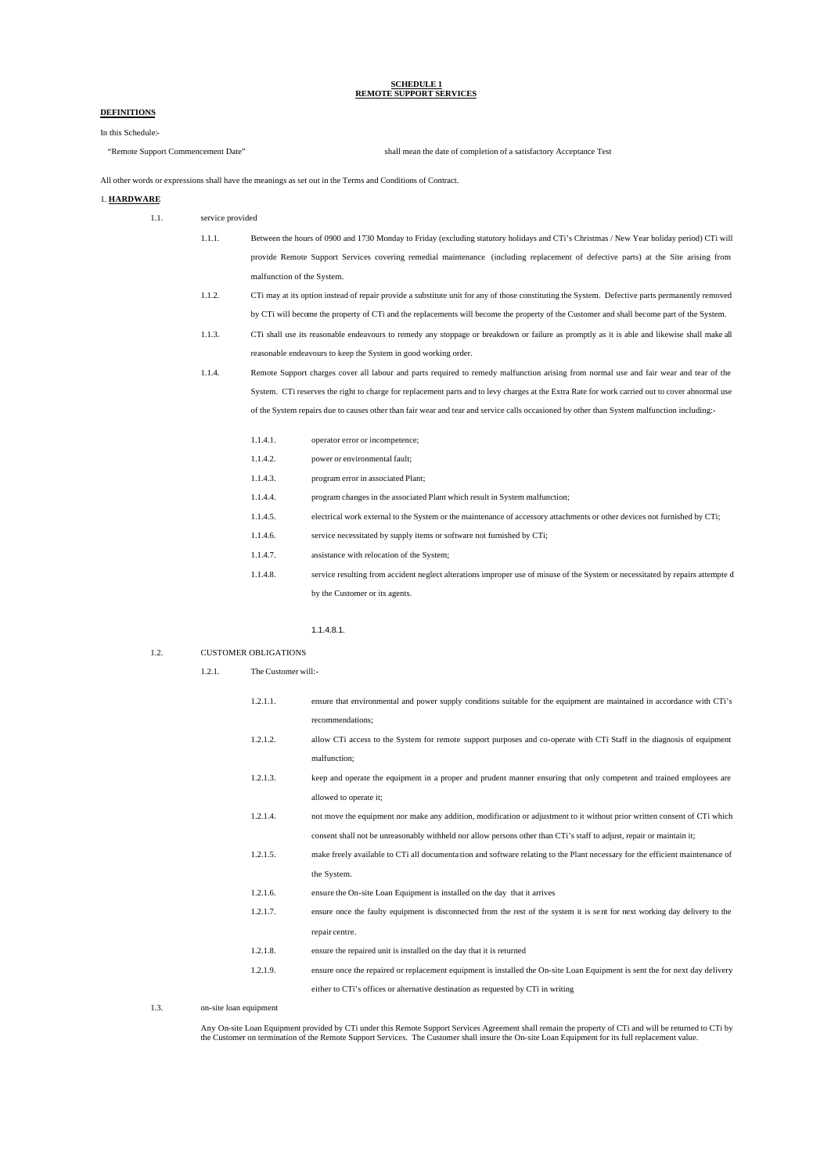# **SCHEDULE 1 REMOTE SUPPORT SERVICES**

# **DEFINITIONS**

# In this Schedule:-

"Remote Support Commencement Date" shall mean the date of completion of a satisfactory Acceptance Test

All other words or expressions shall have the meanings as set out in the Terms and Conditions of Contract.

### 1. **HARDWARE**

- 1.1. service provided
	- 1.1.1. Between the hours of 0900 and 1730 Monday to Friday (excluding statutory holidays and CTi's Christmas / New Year holiday period) CTi will provide Remote Support Services covering remedial maintenance (including replacement of defective parts) at the Site arising from malfunction of the System.
	- 1.1.2. CTi may at its option instead of repair provide a substitute unit for any of those constituting the System. Defective parts permanently removed by CTi will become the property of CTi and the replacements will become the property of the Customer and shall become part of the System.

1.1.3. CTi shall use its reasonable endeavours to remedy any stoppage or breakdown or failure as promptly as it is able and likewise shall make all reasonable endeavours to keep the System in good working order.

- 1.1.4. Remote Support charges cover all labour and parts required to remedy malfunction arising from normal use and fair wear and tear of the System. CTi reserves the right to charge for replacement parts and to levy charges at the Extra Rate for work carried out to cover abnormal use of the System repairs due to causes other than fair wear and tear and service calls occasioned by other than System malfunction including:-
	- 1.1.4.1. operator error or incompetence; 1.1.4.2. power or environmental fault; 1.1.4.3. program error in associated Plant; 1.1.4.4. program changes in the associated Plant which result in System malfunction; 1.1.4.5. electrical work external to the System or the maintenance of accessory attachments or other devices not furnished by CTi; 1.1.4.6. service necessitated by supply items or software not furnished by CTi; 1.1.4.7. assistance with relocation of the System; 1.1.4.8. service resulting from accident neglect alterations improper use of misuse of the System or necessitated by repairs attempte d by the Customer or its agents.

#### 1.1.4.8.1.

#### 1.2. CUSTOMER OBLIGATIONS

1.2.1. The Customer will:-

| 1.2.1.1. | ensure that environmental and power supply conditions suitable for the equipment are maintained in accordance with CTi's     |
|----------|------------------------------------------------------------------------------------------------------------------------------|
|          | recommendations;                                                                                                             |
| 1.2.1.2. | allow CTi access to the System for remote support purposes and co-operate with CTi Staff in the diagnosis of equipment       |
|          | malfunction;                                                                                                                 |
| 1.2.1.3. | keep and operate the equipment in a proper and prudent manner ensuring that only competent and trained employees are         |
|          | allowed to operate it;                                                                                                       |
| 1.2.1.4. | not move the equipment nor make any addition, modification or adjustment to it without prior written consent of CTi which    |
|          | consent shall not be unreasonably withheld nor allow persons other than CTi's staff to adjust, repair or maintain it;        |
| 1.2.1.5. | make freely available to CTi all documentation and software relating to the Plant necessary for the efficient maintenance of |
|          | the System.                                                                                                                  |
| 1.2.1.6. | ensure the On-site Loan Equipment is installed on the day that it arrives                                                    |
| 1.2.1.7. | ensure once the faulty equipment is disconnected from the rest of the system it is sent for next working day delivery to the |
|          | repair centre.                                                                                                               |
| 1.2.1.8. | ensure the repaired unit is installed on the day that it is returned                                                         |
| 1.2.1.9. | ensure once the repaired or replacement equipment is installed the On-site Loan Equipment is sent the for next day delivery  |
|          | either to CTi's offices or alternative destination as requested by CTi in writing                                            |

1.3. on-site loan equipment

Any On-site Loan Equipment provided by CTi under this Remote Support Services Agreement shall remain the property of CTi and will be returned to CTi by<br>the Customer on termination of the Remote Support Services. The Custom